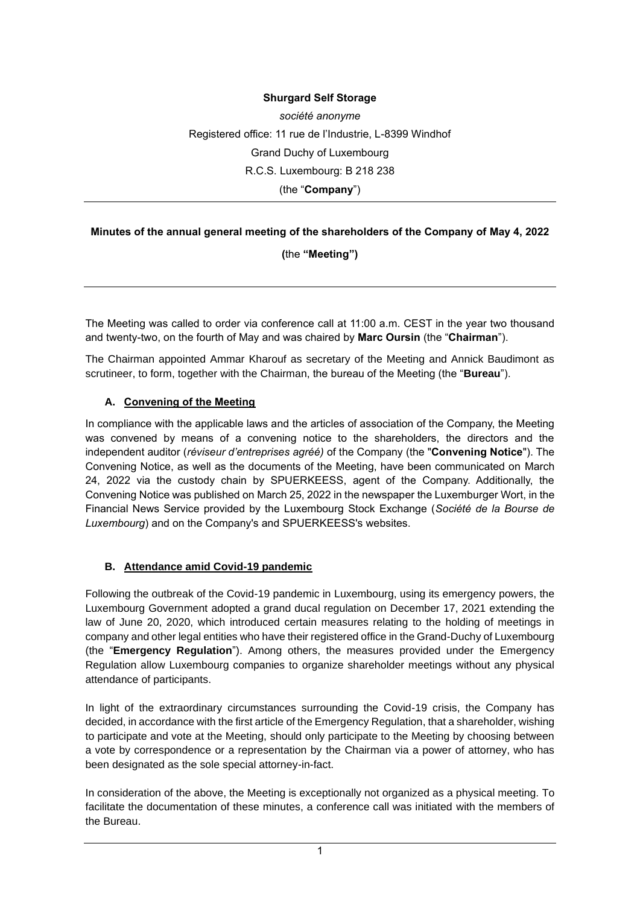## **Shurgard Self Storage**

*société anonyme* Registered office: 11 rue de l'Industrie, L-8399 Windhof Grand Duchy of Luxembourg R.C.S. Luxembourg: B 218 238 (the "**Company**")

#### **Minutes of the annual general meeting of the shareholders of the Company of May 4, 2022**

**(**the **"Meeting")**

The Meeting was called to order via conference call at 11:00 a.m. CEST in the year two thousand and twenty-two, on the fourth of May and was chaired by **Marc Oursin** (the "**Chairman**").

The Chairman appointed Ammar Kharouf as secretary of the Meeting and Annick Baudimont as scrutineer, to form, together with the Chairman, the bureau of the Meeting (the "**Bureau**").

#### **A. Convening of the Meeting**

In compliance with the applicable laws and the articles of association of the Company, the Meeting was convened by means of a convening notice to the shareholders, the directors and the independent auditor (*réviseur d'entreprises agréé)* of the Company (the "**Convening Notice**"). The Convening Notice, as well as the documents of the Meeting, have been communicated on March 24, 2022 via the custody chain by SPUERKEESS, agent of the Company. Additionally, the Convening Notice was published on March 25, 2022 in the newspaper the Luxemburger Wort, in the Financial News Service provided by the Luxembourg Stock Exchange (*Société de la Bourse de Luxembourg*) and on the Company's and SPUERKEESS's websites.

#### **B. Attendance amid Covid-19 pandemic**

Following the outbreak of the Covid-19 pandemic in Luxembourg, using its emergency powers, the Luxembourg Government adopted a grand ducal regulation on December 17, 2021 extending the law of June 20, 2020, which introduced certain measures relating to the holding of meetings in company and other legal entities who have their registered office in the Grand-Duchy of Luxembourg (the "**Emergency Regulation**"). Among others, the measures provided under the Emergency Regulation allow Luxembourg companies to organize shareholder meetings without any physical attendance of participants.

In light of the extraordinary circumstances surrounding the Covid-19 crisis, the Company has decided, in accordance with the first article of the Emergency Regulation, that a shareholder, wishing to participate and vote at the Meeting, should only participate to the Meeting by choosing between a vote by correspondence or a representation by the Chairman via a power of attorney, who has been designated as the sole special attorney-in-fact.

In consideration of the above, the Meeting is exceptionally not organized as a physical meeting. To facilitate the documentation of these minutes, a conference call was initiated with the members of the Bureau.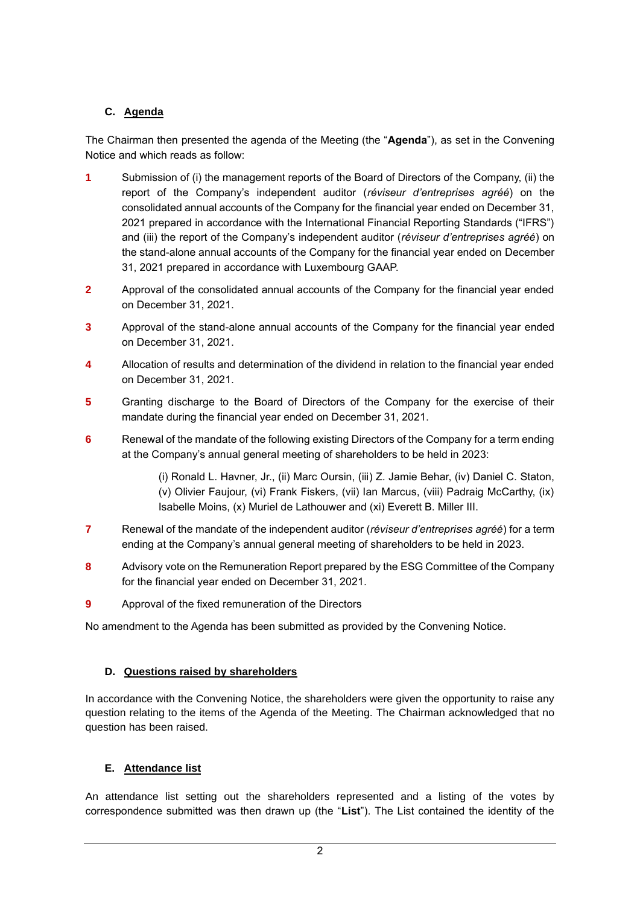# **C. Agenda**

The Chairman then presented the agenda of the Meeting (the "**Agenda**"), as set in the Convening Notice and which reads as follow:

- **1** Submission of (i) the management reports of the Board of Directors of the Company, (ii) the report of the Company's independent auditor (*réviseur d'entreprises agréé*) on the consolidated annual accounts of the Company for the financial year ended on December 31, 2021 prepared in accordance with the International Financial Reporting Standards ("IFRS") and (iii) the report of the Company's independent auditor (*réviseur d'entreprises agréé*) on the stand-alone annual accounts of the Company for the financial year ended on December 31, 2021 prepared in accordance with Luxembourg GAAP.
- **2** Approval of the consolidated annual accounts of the Company for the financial year ended on December 31, 2021.
- **3** Approval of the stand-alone annual accounts of the Company for the financial year ended on December 31, 2021.
- **4** Allocation of results and determination of the dividend in relation to the financial year ended on December 31, 2021.
- **5** Granting discharge to the Board of Directors of the Company for the exercise of their mandate during the financial year ended on December 31, 2021.
- **6** Renewal of the mandate of the following existing Directors of the Company for a term ending at the Company's annual general meeting of shareholders to be held in 2023:

(i) Ronald L. Havner, Jr., (ii) Marc Oursin, (iii) Z. Jamie Behar, (iv) Daniel C. Staton, (v) Olivier Faujour, (vi) Frank Fiskers, (vii) Ian Marcus, (viii) Padraig McCarthy, (ix) Isabelle Moins, (x) Muriel de Lathouwer and (xi) Everett B. Miller III.

- **7** Renewal of the mandate of the independent auditor (*réviseur d'entreprises agréé*) for a term ending at the Company's annual general meeting of shareholders to be held in 2023.
- **8** Advisory vote on the Remuneration Report prepared by the ESG Committee of the Company for the financial year ended on December 31, 2021.
- **9** Approval of the fixed remuneration of the Directors

No amendment to the Agenda has been submitted as provided by the Convening Notice.

## **D. Questions raised by shareholders**

In accordance with the Convening Notice, the shareholders were given the opportunity to raise any question relating to the items of the Agenda of the Meeting. The Chairman acknowledged that no question has been raised.

## **E. Attendance list**

An attendance list setting out the shareholders represented and a listing of the votes by correspondence submitted was then drawn up (the "**List**"). The List contained the identity of the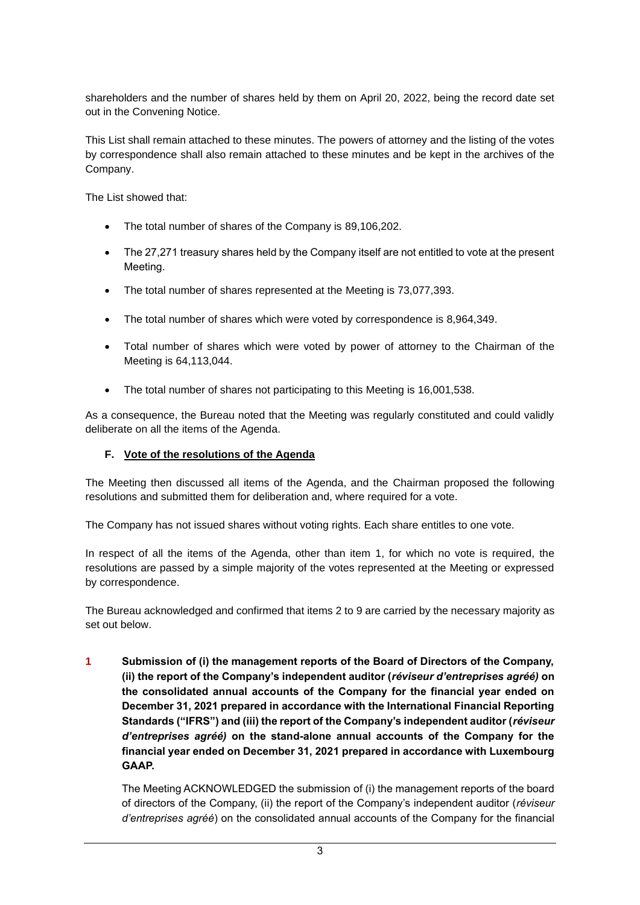shareholders and the number of shares held by them on April 20, 2022, being the record date set out in the Convening Notice.

This List shall remain attached to these minutes. The powers of attorney and the listing of the votes by correspondence shall also remain attached to these minutes and be kept in the archives of the Company.

The List showed that:

- The total number of shares of the Company is 89,106,202.
- The 27,271 treasury shares held by the Company itself are not entitled to vote at the present Meeting.
- The total number of shares represented at the Meeting is 73,077,393.
- The total number of shares which were voted by correspondence is 8,964,349.
- Total number of shares which were voted by power of attorney to the Chairman of the Meeting is 64,113,044.
- The total number of shares not participating to this Meeting is 16,001,538.

As a consequence, the Bureau noted that the Meeting was regularly constituted and could validly deliberate on all the items of the Agenda.

#### **F. Vote of the resolutions of the Agenda**

The Meeting then discussed all items of the Agenda, and the Chairman proposed the following resolutions and submitted them for deliberation and, where required for a vote.

The Company has not issued shares without voting rights. Each share entitles to one vote.

In respect of all the items of the Agenda, other than item 1, for which no vote is required, the resolutions are passed by a simple majority of the votes represented at the Meeting or expressed by correspondence.

The Bureau acknowledged and confirmed that items 2 to 9 are carried by the necessary majority as set out below.

**1 Submission of (i) the management reports of the Board of Directors of the Company, (ii) the report of the Company's independent auditor (***réviseur d'entreprises agréé)* **on the consolidated annual accounts of the Company for the financial year ended on December 31, 2021 prepared in accordance with the International Financial Reporting Standards ("IFRS") and (iii) the report of the Company's independent auditor (***réviseur d'entreprises agréé)* **on the stand-alone annual accounts of the Company for the financial year ended on December 31, 2021 prepared in accordance with Luxembourg GAAP.**

The Meeting ACKNOWLEDGED the submission of (i) the management reports of the board of directors of the Company, (ii) the report of the Company's independent auditor (*réviseur d'entreprises agréé*) on the consolidated annual accounts of the Company for the financial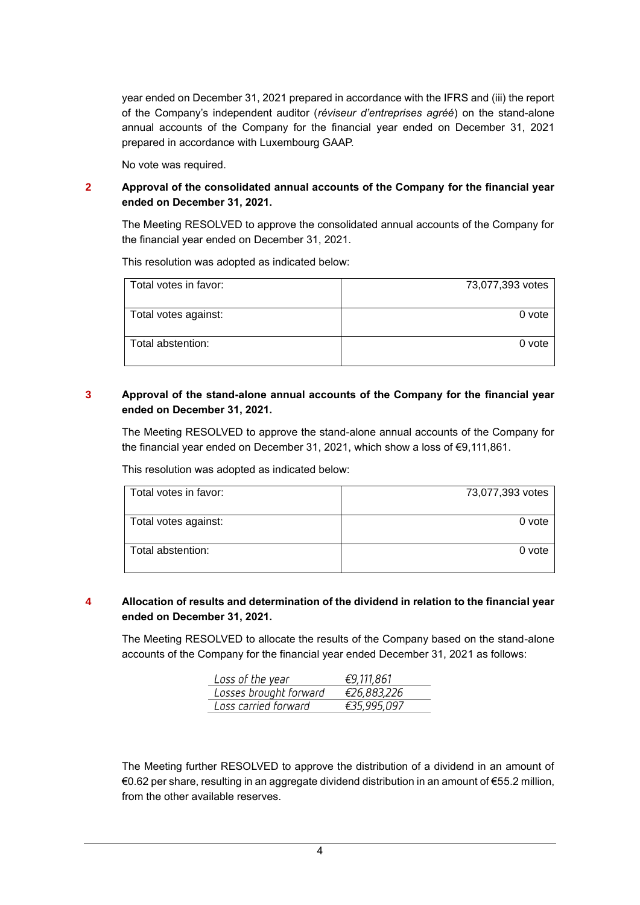year ended on December 31, 2021 prepared in accordance with the IFRS and (iii) the report of the Company's independent auditor (*réviseur d'entreprises agréé*) on the stand-alone annual accounts of the Company for the financial year ended on December 31, 2021 prepared in accordance with Luxembourg GAAP.

No vote was required.

#### **2 Approval of the consolidated annual accounts of the Company for the financial year ended on December 31, 2021.**

The Meeting RESOLVED to approve the consolidated annual accounts of the Company for the financial year ended on December 31, 2021.

This resolution was adopted as indicated below:

| Total votes in favor: | 73,077,393 votes |
|-----------------------|------------------|
|                       |                  |
| Total votes against:  | 0 vote           |
| Total abstention:     | 0 vote           |

## **3 Approval of the stand-alone annual accounts of the Company for the financial year ended on December 31, 2021.**

The Meeting RESOLVED to approve the stand-alone annual accounts of the Company for the financial year ended on December 31, 2021, which show a loss of €9,111,861.

Total votes in favor: 73,077,393 votes Total votes against: 0 vote Total abstention: 0 vote

#### This resolution was adopted as indicated below:

#### **4 Allocation of results and determination of the dividend in relation to the financial year ended on December 31, 2021.**

The Meeting RESOLVED to allocate the results of the Company based on the stand-alone accounts of the Company for the financial year ended December 31, 2021 as follows:

| Loss of the year       | €9,111,861  |
|------------------------|-------------|
| Losses brought forward | €26,883,226 |
| Loss carried forward   | €35,995,097 |

The Meeting further RESOLVED to approve the distribution of a dividend in an amount of €0.62 per share, resulting in an aggregate dividend distribution in an amount of €55.2 million, from the other available reserves.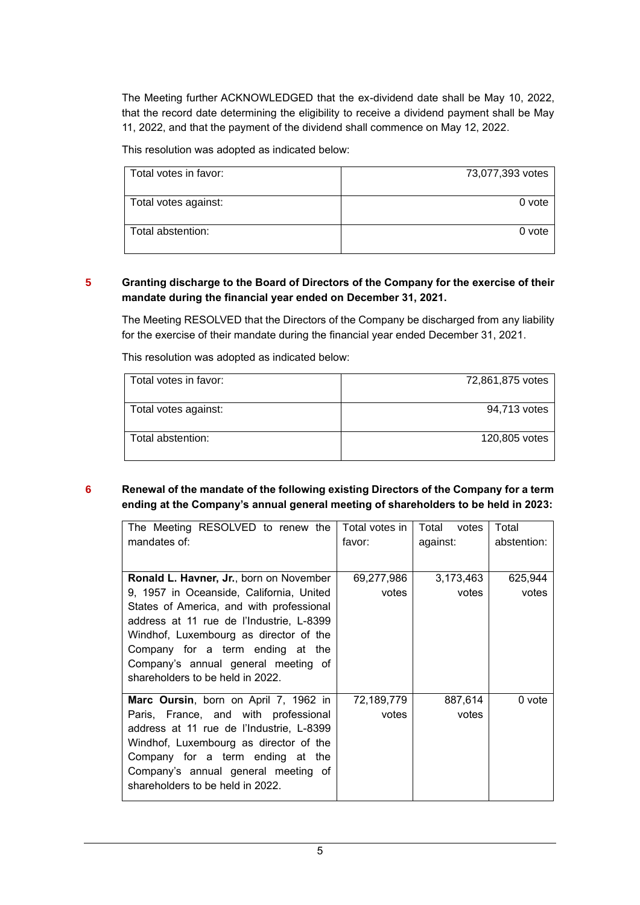The Meeting further ACKNOWLEDGED that the ex-dividend date shall be May 10, 2022, that the record date determining the eligibility to receive a dividend payment shall be May 11, 2022, and that the payment of the dividend shall commence on May 12, 2022.

This resolution was adopted as indicated below:

| Total votes in favor: | 73,077,393 votes |
|-----------------------|------------------|
|                       |                  |
| Total votes against:  | 0 vote           |
| Total abstention:     | 0 vote           |

## **5 Granting discharge to the Board of Directors of the Company for the exercise of their mandate during the financial year ended on December 31, 2021.**

The Meeting RESOLVED that the Directors of the Company be discharged from any liability for the exercise of their mandate during the financial year ended December 31, 2021.

Total votes in favor: The Contract of Table 1, 2008 1,875 votes Total votes against: 94,713 votes Total abstention: 120,805 votes

This resolution was adopted as indicated below:

## **6 Renewal of the mandate of the following existing Directors of the Company for a term ending at the Company's annual general meeting of shareholders to be held in 2023:**

| The Meeting RESOLVED to renew the        | Total votes in | Total<br>votes | Total       |
|------------------------------------------|----------------|----------------|-------------|
| mandates of:                             | favor:         | against:       | abstention: |
|                                          |                |                |             |
| Ronald L. Havner, Jr., born on November  | 69,277,986     | 3,173,463      | 625,944     |
| 9, 1957 in Oceanside, California, United | votes          | votes          | votes       |
| States of America, and with professional |                |                |             |
| address at 11 rue de l'Industrie, L-8399 |                |                |             |
| Windhof, Luxembourg as director of the   |                |                |             |
| Company for a term ending at the         |                |                |             |
| Company's annual general meeting of      |                |                |             |
| shareholders to be held in 2022.         |                |                |             |
| Marc Oursin, born on April 7, 1962 in    | 72,189,779     | 887,614        | 0 vote      |
| Paris, France, and with professional     | votes          | votes          |             |
| address at 11 rue de l'Industrie, L-8399 |                |                |             |
| Windhof, Luxembourg as director of the   |                |                |             |
| Company for a term ending at the         |                |                |             |
| Company's annual general meeting of      |                |                |             |
| shareholders to be held in 2022.         |                |                |             |
|                                          |                |                |             |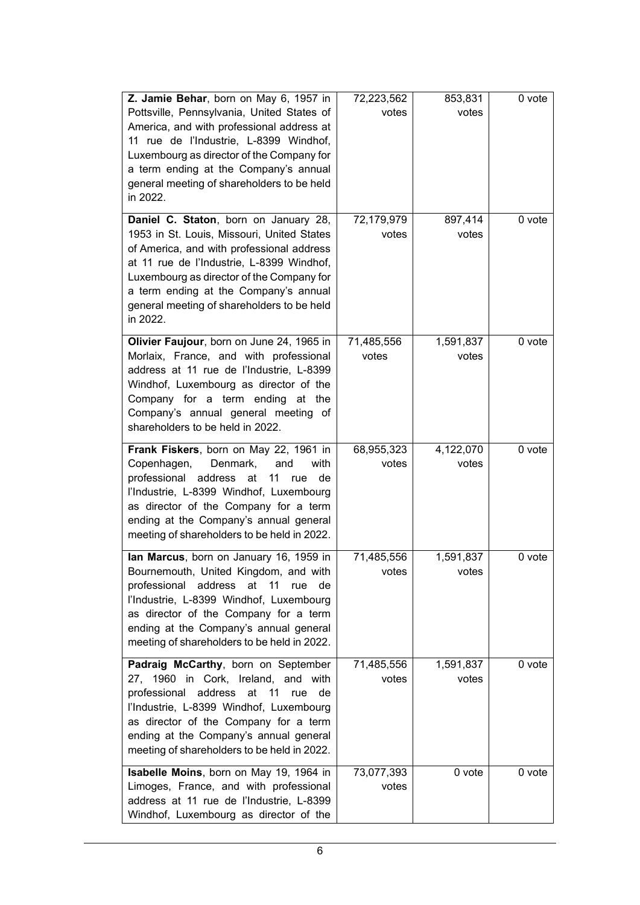| Z. Jamie Behar, born on May 6, 1957 in<br>Pottsville, Pennsylvania, United States of<br>America, and with professional address at<br>11 rue de l'Industrie, L-8399 Windhof,<br>Luxembourg as director of the Company for<br>a term ending at the Company's annual<br>general meeting of shareholders to be held<br>in 2022.<br>Daniel C. Staton, born on January 28, | 72,223,562<br>votes<br>72,179,979 | 853,831<br>votes<br>897,414 | 0 vote<br>0 vote |
|----------------------------------------------------------------------------------------------------------------------------------------------------------------------------------------------------------------------------------------------------------------------------------------------------------------------------------------------------------------------|-----------------------------------|-----------------------------|------------------|
| 1953 in St. Louis, Missouri, United States<br>of America, and with professional address<br>at 11 rue de l'Industrie, L-8399 Windhof,<br>Luxembourg as director of the Company for<br>a term ending at the Company's annual<br>general meeting of shareholders to be held<br>in 2022.                                                                                 | votes                             | votes                       |                  |
| Olivier Faujour, born on June 24, 1965 in<br>Morlaix, France, and with professional<br>address at 11 rue de l'Industrie, L-8399<br>Windhof, Luxembourg as director of the<br>Company for a term ending at the<br>Company's annual general meeting of<br>shareholders to be held in 2022.                                                                             | 71,485,556<br>votes               | 1,591,837<br>votes          | 0 vote           |
| Frank Fiskers, born on May 22, 1961 in<br>Copenhagen,<br>Denmark,<br>and<br>with<br>professional<br>address<br>at<br>11<br>de<br>rue<br>l'Industrie, L-8399 Windhof, Luxembourg<br>as director of the Company for a term<br>ending at the Company's annual general<br>meeting of shareholders to be held in 2022.                                                    | 68,955,323<br>votes               | 4,122,070<br>votes          | 0 vote           |
| lan Marcus, born on January 16, 1959 in<br>Bournemouth, United Kingdom, and with<br>11<br>professional address<br>at<br>rue<br>de<br>l'Industrie, L-8399 Windhof, Luxembourg<br>as director of the Company for a term<br>ending at the Company's annual general<br>meeting of shareholders to be held in 2022.                                                       | 71,485,556<br>votes               | 1,591,837<br>votes          | 0 vote           |
| Padraig McCarthy, born on September<br>27, 1960 in Cork, Ireland, and with<br>professional<br>address<br>at<br>11<br>rue de<br>l'Industrie, L-8399 Windhof, Luxembourg<br>as director of the Company for a term<br>ending at the Company's annual general<br>meeting of shareholders to be held in 2022.                                                             | 71,485,556<br>votes               | 1,591,837<br>votes          | 0 vote           |
| Isabelle Moins, born on May 19, 1964 in<br>Limoges, France, and with professional<br>address at 11 rue de l'Industrie, L-8399<br>Windhof, Luxembourg as director of the                                                                                                                                                                                              | 73,077,393<br>votes               | 0 vote                      | 0 vote           |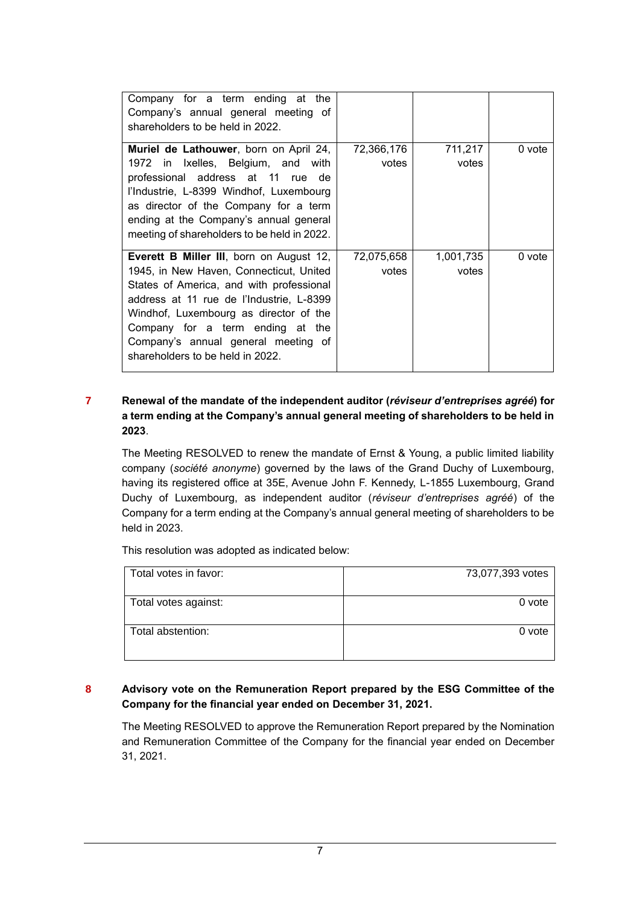| Company for a term ending at the<br>Company's annual general meeting of<br>shareholders to be held in 2022.                                                                                                                                                                                                                                  |                     |                    |        |
|----------------------------------------------------------------------------------------------------------------------------------------------------------------------------------------------------------------------------------------------------------------------------------------------------------------------------------------------|---------------------|--------------------|--------|
| <b>Muriel de Lathouwer</b> , born on April 24,<br>1972 in Ixelles, Belgium, and with<br>professional address at 11 rue de<br>l'Industrie, L-8399 Windhof, Luxembourg<br>as director of the Company for a term<br>ending at the Company's annual general<br>meeting of shareholders to be held in 2022.                                       | 72,366,176<br>votes | 711,217<br>votes   | 0 vote |
| <b>Everett B Miller III</b> , born on August 12,<br>1945, in New Haven, Connecticut, United<br>States of America, and with professional<br>address at 11 rue de l'Industrie, L-8399<br>Windhof, Luxembourg as director of the<br>Company for a term ending at the<br>Company's annual general meeting of<br>shareholders to be held in 2022. | 72,075,658<br>votes | 1,001,735<br>votes | 0 vote |

## **7 Renewal of the mandate of the independent auditor (***réviseur d'entreprises agréé***) for a term ending at the Company's annual general meeting of shareholders to be held in 2023**.

The Meeting RESOLVED to renew the mandate of Ernst & Young, a public limited liability company (*société anonyme*) governed by the laws of the Grand Duchy of Luxembourg, having its registered office at 35E, Avenue John F. Kennedy, L-1855 Luxembourg, Grand Duchy of Luxembourg, as independent auditor (*réviseur d'entreprises agréé*) of the Company for a term ending at the Company's annual general meeting of shareholders to be held in 2023.

This resolution was adopted as indicated below:

| Total votes in favor: | 73,077,393 votes |
|-----------------------|------------------|
| Total votes against:  | 0 vote           |
| Total abstention:     | 0 vote           |

## **8 Advisory vote on the Remuneration Report prepared by the ESG Committee of the Company for the financial year ended on December 31, 2021.**

The Meeting RESOLVED to approve the Remuneration Report prepared by the Nomination and Remuneration Committee of the Company for the financial year ended on December 31, 2021.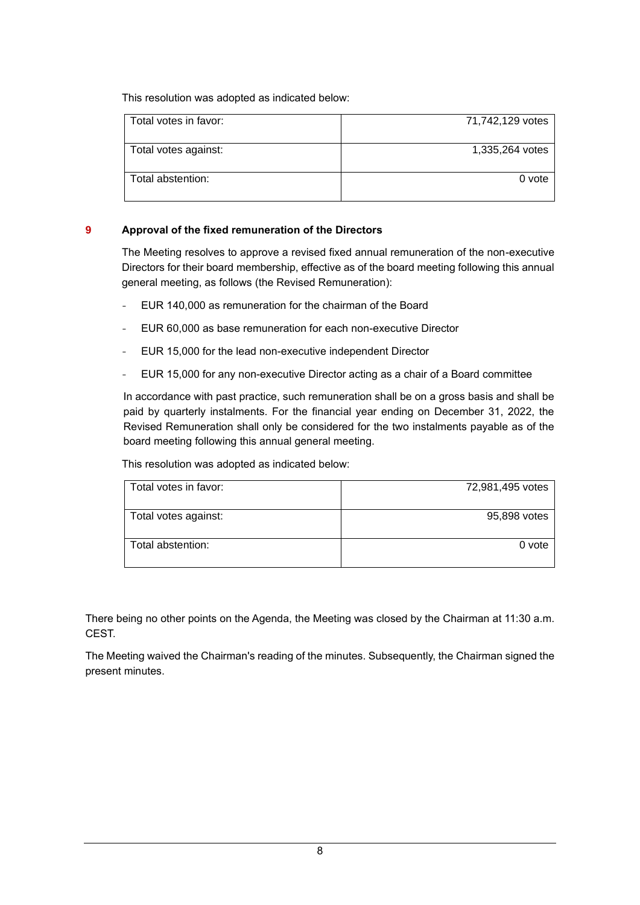This resolution was adopted as indicated below:

| Total votes in favor: | 71,742,129 votes |
|-----------------------|------------------|
|                       |                  |
| Total votes against:  | 1,335,264 votes  |
|                       |                  |
| Total abstention:     | 0 vote           |
|                       |                  |
|                       |                  |
|                       |                  |

#### **9 Approval of the fixed remuneration of the Directors**

The Meeting resolves to approve a revised fixed annual remuneration of the non-executive Directors for their board membership, effective as of the board meeting following this annual general meeting, as follows (the Revised Remuneration):

- EUR 140,000 as remuneration for the chairman of the Board
- EUR 60,000 as base remuneration for each non-executive Director
- EUR 15,000 for the lead non-executive independent Director
- EUR 15,000 for any non-executive Director acting as a chair of a Board committee

In accordance with past practice, such remuneration shall be on a gross basis and shall be paid by quarterly instalments. For the financial year ending on December 31, 2022, the Revised Remuneration shall only be considered for the two instalments payable as of the board meeting following this annual general meeting.

This resolution was adopted as indicated below:

| Total votes in favor: | 72,981,495 votes |
|-----------------------|------------------|
| Total votes against:  | 95,898 votes     |
| Total abstention:     | 0 vote           |

There being no other points on the Agenda, the Meeting was closed by the Chairman at 11:30 a.m. CEST.

The Meeting waived the Chairman's reading of the minutes. Subsequently, the Chairman signed the present minutes.